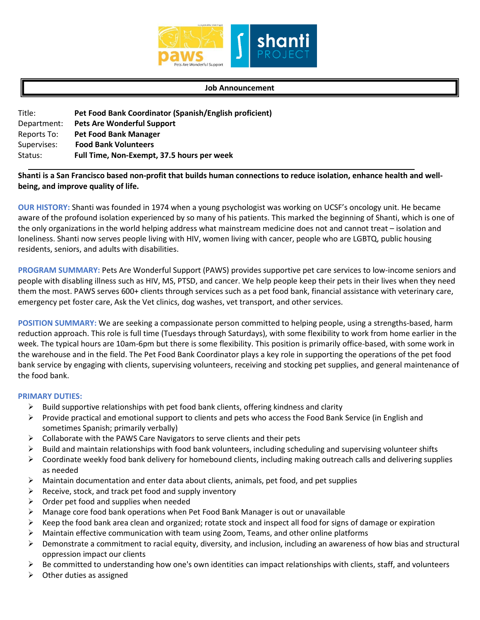

#### **Job Announcement**

| Title:      | Pet Food Bank Coordinator (Spanish/English proficient) |
|-------------|--------------------------------------------------------|
| Department: | <b>Pets Are Wonderful Support</b>                      |
| Reports To: | <b>Pet Food Bank Manager</b>                           |
| Supervises: | <b>Food Bank Volunteers</b>                            |
| Status:     | Full Time, Non-Exempt, 37.5 hours per week             |

# **Shanti is a San Francisco based non-profit that builds human connections to reduce isolation, enhance health and wellbeing, and improve quality of life.**

**OUR HISTORY:** Shanti was founded in 1974 when a young psychologist was working on UCSF's oncology unit. He became aware of the profound isolation experienced by so many of his patients. This marked the beginning of Shanti, which is one of the only organizations in the world helping address what mainstream medicine does not and cannot treat – isolation and loneliness. Shanti now serves people living with HIV, women living with cancer, people who are LGBTQ, public housing residents, seniors, and adults with disabilities.

**PROGRAM SUMMARY:** Pets Are Wonderful Support (PAWS) provides supportive pet care services to low-income seniors and people with disabling illness such as HIV, MS, PTSD, and cancer. We help people keep their pets in their lives when they need them the most. PAWS serves 600+ clients through services such as a pet food bank, financial assistance with veterinary care, emergency pet foster care, Ask the Vet clinics, dog washes, vet transport, and other services.

**POSITION SUMMARY:** We are seeking a compassionate person committed to helping people, using a strengths-based, harm reduction approach. This role is full time (Tuesdays through Saturdays), with some flexibility to work from home earlier in the week. The typical hours are 10am-6pm but there is some flexibility. This position is primarily office-based, with some work in the warehouse and in the field. The Pet Food Bank Coordinator plays a key role in supporting the operations of the pet food bank service by engaging with clients, supervising volunteers, receiving and stocking pet supplies, and general maintenance of the food bank.

### **PRIMARY DUTIES:**

- $\triangleright$  Build supportive relationships with pet food bank clients, offering kindness and clarity
- Provide practical and emotional support to clients and pets who access the Food Bank Service (in English and sometimes Spanish; primarily verbally)
- $\triangleright$  Collaborate with the PAWS Care Navigators to serve clients and their pets
- $\triangleright$  Build and maintain relationships with food bank volunteers, including scheduling and supervising volunteer shifts
- $\triangleright$  Coordinate weekly food bank delivery for homebound clients, including making outreach calls and delivering supplies as needed
- $\triangleright$  Maintain documentation and enter data about clients, animals, pet food, and pet supplies
- $\triangleright$  Receive, stock, and track pet food and supply inventory
- $\triangleright$  Order pet food and supplies when needed
- Manage core food bank operations when Pet Food Bank Manager is out or unavailable
- $\triangleright$  Keep the food bank area clean and organized; rotate stock and inspect all food for signs of damage or expiration
- $\triangleright$  Maintain effective communication with team using Zoom, Teams, and other online platforms
- Demonstrate a commitment to racial equity, diversity, and inclusion, including an awareness of how bias and structural oppression impact our clients
- $\triangleright$  Be committed to understanding how one's own identities can impact relationships with clients, staff, and volunteers
- $\triangleright$  Other duties as assigned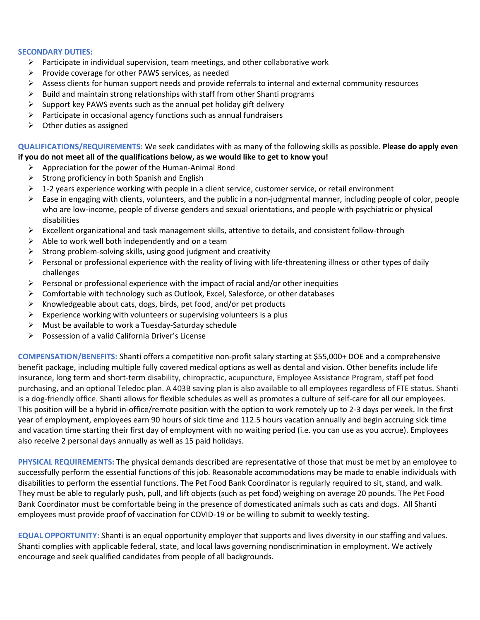### **SECONDARY DUTIES:**

- $\triangleright$  Participate in individual supervision, team meetings, and other collaborative work
- $\triangleright$  Provide coverage for other PAWS services, as needed
- $\triangleright$  Assess clients for human support needs and provide referrals to internal and external community resources
- $\triangleright$  Build and maintain strong relationships with staff from other Shanti programs
- $\triangleright$  Support key PAWS events such as the annual pet holiday gift delivery
- $\triangleright$  Participate in occasional agency functions such as annual fundraisers
- $\triangleright$  Other duties as assigned

# **QUALIFICATIONS/REQUIREMENTS:** We seek candidates with as many of the following skills as possible. **Please do apply even if you do not meet all of the qualifications below, as we would like to get to know you!**

- $\triangleright$  Appreciation for the power of the Human-Animal Bond
- $\triangleright$  Strong proficiency in both Spanish and English
- $\triangleright$  1-2 years experience working with people in a client service, customer service, or retail environment
- $\triangleright$  Ease in engaging with clients, volunteers, and the public in a non-judgmental manner, including people of color, people who are low-income, people of diverse genders and sexual orientations, and people with psychiatric or physical disabilities
- $\triangleright$  Excellent organizational and task management skills, attentive to details, and consistent follow-through
- $\triangleright$  Able to work well both independently and on a team
- $\triangleright$  Strong problem-solving skills, using good judgment and creativity
- $\triangleright$  Personal or professional experience with the reality of living with life-threatening illness or other types of daily challenges
- $\triangleright$  Personal or professional experience with the impact of racial and/or other inequities
- $\triangleright$  Comfortable with technology such as Outlook, Excel, Salesforce, or other databases
- $\triangleright$  Knowledgeable about cats, dogs, birds, pet food, and/or pet products
- $\triangleright$  Experience working with volunteers or supervising volunteers is a plus
- $\triangleright$  Must be available to work a Tuesday-Saturday schedule
- Possession of a valid California Driver's License

**COMPENSATION/BENEFITS:** Shanti offers a competitive non-profit salary starting at \$55,000+ DOE and a comprehensive benefit package, including multiple fully covered medical options as well as dental and vision. Other benefits include life insurance, long term and short-term disability, chiropractic, acupuncture, Employee Assistance Program, staff pet food purchasing, and an optional Teledoc plan. A 403B saving plan is also available to all employees regardless of FTE status. Shanti is a dog-friendly office. Shanti allows for flexible schedules as well as promotes a culture of self-care for all our employees. This position will be a hybrid in-office/remote position with the option to work remotely up to 2-3 days per week. In the first year of employment, employees earn 90 hours of sick time and 112.5 hours vacation annually and begin accruing sick time and vacation time starting their first day of employment with no waiting period (i.e. you can use as you accrue). Employees also receive 2 personal days annually as well as 15 paid holidays.

**PHYSICAL REQUIREMENTS:** The physical demands described are representative of those that must be met by an employee to successfully perform the essential functions of this job. Reasonable accommodations may be made to enable individuals with disabilities to perform the essential functions. The Pet Food Bank Coordinator is regularly required to sit, stand, and walk. They must be able to regularly push, pull, and lift objects (such as pet food) weighing on average 20 pounds. The Pet Food Bank Coordinator must be comfortable being in the presence of domesticated animals such as cats and dogs. All Shanti employees must provide proof of vaccination for COVID-19 or be willing to submit to weekly testing.

**EQUAL OPPORTUNITY:** Shanti is an equal opportunity employer that supports and lives diversity in our staffing and values. Shanti complies with applicable federal, state, and local laws governing nondiscrimination in employment. We actively encourage and seek qualified candidates from people of all backgrounds.